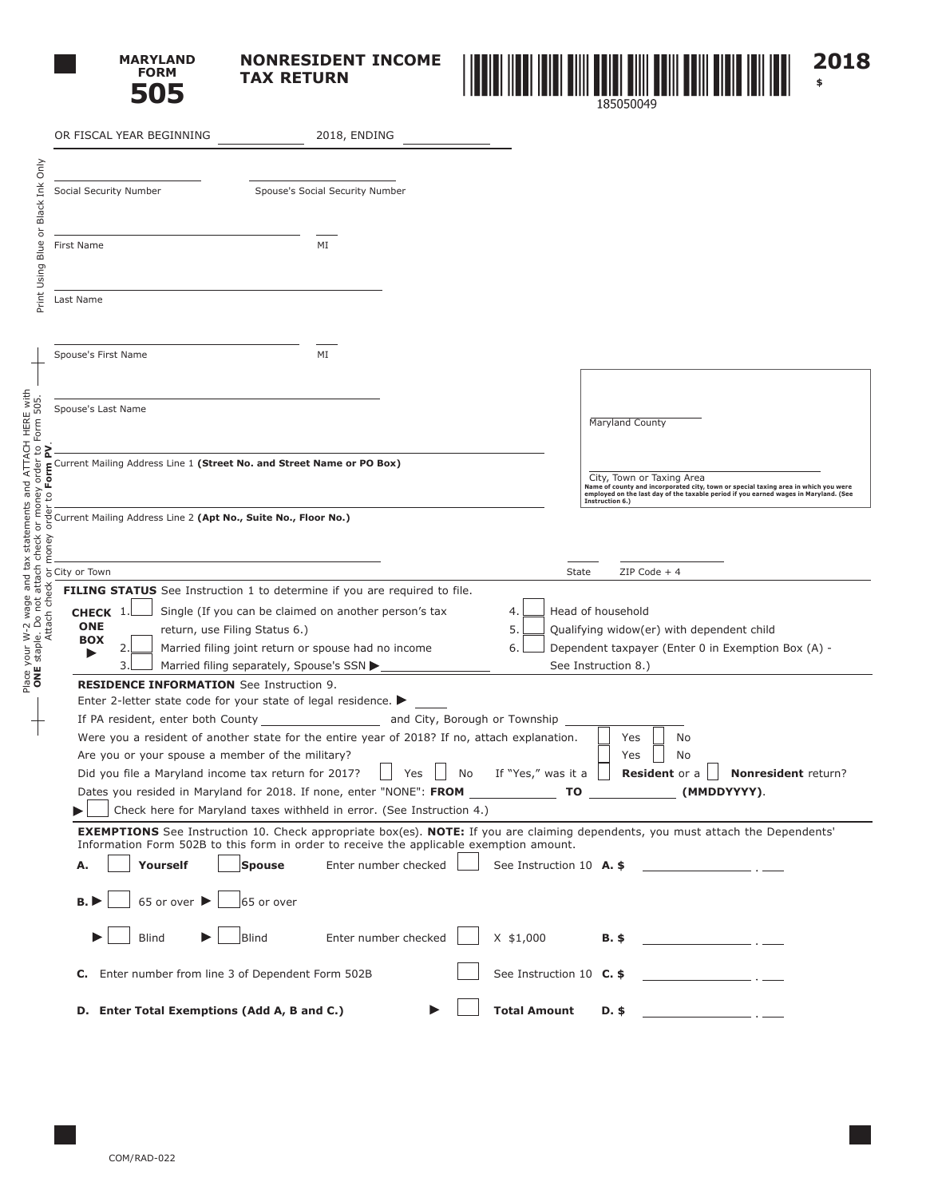

**NONRESIDENT INCOME TAX RETURN**



|                                                                                                                            | OR FISCAL YEAR BEGINNING                                                                                                                        | 2018, ENDING                                                                                                                  |                                                                                                                                                                                                |
|----------------------------------------------------------------------------------------------------------------------------|-------------------------------------------------------------------------------------------------------------------------------------------------|-------------------------------------------------------------------------------------------------------------------------------|------------------------------------------------------------------------------------------------------------------------------------------------------------------------------------------------|
|                                                                                                                            |                                                                                                                                                 |                                                                                                                               |                                                                                                                                                                                                |
| Black Ink Only                                                                                                             | Social Security Number                                                                                                                          | Spouse's Social Security Number                                                                                               |                                                                                                                                                                                                |
| $\overline{\sigma}$                                                                                                        |                                                                                                                                                 |                                                                                                                               |                                                                                                                                                                                                |
| Blue                                                                                                                       | First Name                                                                                                                                      | ΜI                                                                                                                            |                                                                                                                                                                                                |
| Print Using                                                                                                                |                                                                                                                                                 |                                                                                                                               |                                                                                                                                                                                                |
|                                                                                                                            | Last Name                                                                                                                                       |                                                                                                                               |                                                                                                                                                                                                |
|                                                                                                                            |                                                                                                                                                 |                                                                                                                               |                                                                                                                                                                                                |
|                                                                                                                            | Spouse's First Name                                                                                                                             | ΜI                                                                                                                            |                                                                                                                                                                                                |
|                                                                                                                            |                                                                                                                                                 |                                                                                                                               |                                                                                                                                                                                                |
|                                                                                                                            | Spouse's Last Name                                                                                                                              |                                                                                                                               | Maryland County                                                                                                                                                                                |
|                                                                                                                            |                                                                                                                                                 |                                                                                                                               |                                                                                                                                                                                                |
| Place your W-2 wage and tax statements and ATTACH HERE with<br>ONE staple. Do not attach check or money order to Form 505. | Current Mailing Address Line 1 (Street No. and Street Name or PO Box)<br>Form                                                                   |                                                                                                                               | City, Town or Taxing Area                                                                                                                                                                      |
| Ľ0                                                                                                                         |                                                                                                                                                 |                                                                                                                               | Name of county and incorporated city, town or special taxing area in which you were<br>employed on the last day of the taxable period if you earned wages in Maryland. (See<br>Instruction 6.) |
|                                                                                                                            | Current Mailing Address Line 2 (Apt No., Suite No., Floor No.)<br>ord                                                                           |                                                                                                                               |                                                                                                                                                                                                |
|                                                                                                                            | money                                                                                                                                           |                                                                                                                               |                                                                                                                                                                                                |
|                                                                                                                            | City or Town                                                                                                                                    |                                                                                                                               | $ZIP Code + 4$<br>State                                                                                                                                                                        |
| Attach check                                                                                                               | FILING STATUS See Instruction 1 to determine if you are required to file.<br>Single (If you can be claimed on another person's tax<br>CHECK $1$ | 4.                                                                                                                            | Head of household                                                                                                                                                                              |
|                                                                                                                            | <b>ONE</b><br>return, use Filing Status 6.)<br><b>BOX</b>                                                                                       | 5.                                                                                                                            | Qualifying widow(er) with dependent child                                                                                                                                                      |
|                                                                                                                            | Married filing joint return or spouse had no income<br>2.<br>Married filing separately, Spouse's SSN ><br>3.                                    | 6.                                                                                                                            | Dependent taxpayer (Enter 0 in Exemption Box (A) -<br>See Instruction 8.)                                                                                                                      |
|                                                                                                                            | <b>RESIDENCE INFORMATION</b> See Instruction 9.                                                                                                 |                                                                                                                               |                                                                                                                                                                                                |
|                                                                                                                            | Enter 2-letter state code for your state of legal residence.                                                                                    |                                                                                                                               |                                                                                                                                                                                                |
|                                                                                                                            | If PA resident, enter both County                                                                                                               | and City, Borough or Township<br>Were you a resident of another state for the entire year of 2018? If no, attach explanation. | Yes<br>No                                                                                                                                                                                      |
|                                                                                                                            | Are you or your spouse a member of the military?                                                                                                |                                                                                                                               | No<br>Yes                                                                                                                                                                                      |
|                                                                                                                            | Did you file a Maryland income tax return for 2017?                                                                                             | If "Yes," was it a<br>Yes<br>No                                                                                               | Resident or a<br>Nonresident return?                                                                                                                                                           |
|                                                                                                                            | Dates you resided in Maryland for 2018. If none, enter "NONE": FROM<br>Check here for Maryland taxes withheld in error. (See Instruction 4.)    |                                                                                                                               | (MMDDYYYY).<br>ΤO                                                                                                                                                                              |
|                                                                                                                            |                                                                                                                                                 |                                                                                                                               | <b>EXEMPTIONS</b> See Instruction 10. Check appropriate box(es). NOTE: If you are claiming dependents, you must attach the Dependents'                                                         |
|                                                                                                                            |                                                                                                                                                 | Information Form 502B to this form in order to receive the applicable exemption amount.                                       |                                                                                                                                                                                                |
|                                                                                                                            | Yourself<br><b>Spouse</b><br>Α.                                                                                                                 | Enter number checked                                                                                                          | See Instruction 10 A. \$                                                                                                                                                                       |
|                                                                                                                            | 65 or over ▶<br>B.<br>65 or over                                                                                                                |                                                                                                                               |                                                                                                                                                                                                |
|                                                                                                                            | <b>Blind</b><br>Blind                                                                                                                           | Enter number checked<br>$X$ \$1,000                                                                                           | $B.$ \$<br>and the control of the control of                                                                                                                                                   |
|                                                                                                                            | C. Enter number from line 3 of Dependent Form 502B                                                                                              |                                                                                                                               | See Instruction 10 C. \$                                                                                                                                                                       |
|                                                                                                                            | D. Enter Total Exemptions (Add A, B and C.)                                                                                                     | <b>Total Amount</b>                                                                                                           | D. \$                                                                                                                                                                                          |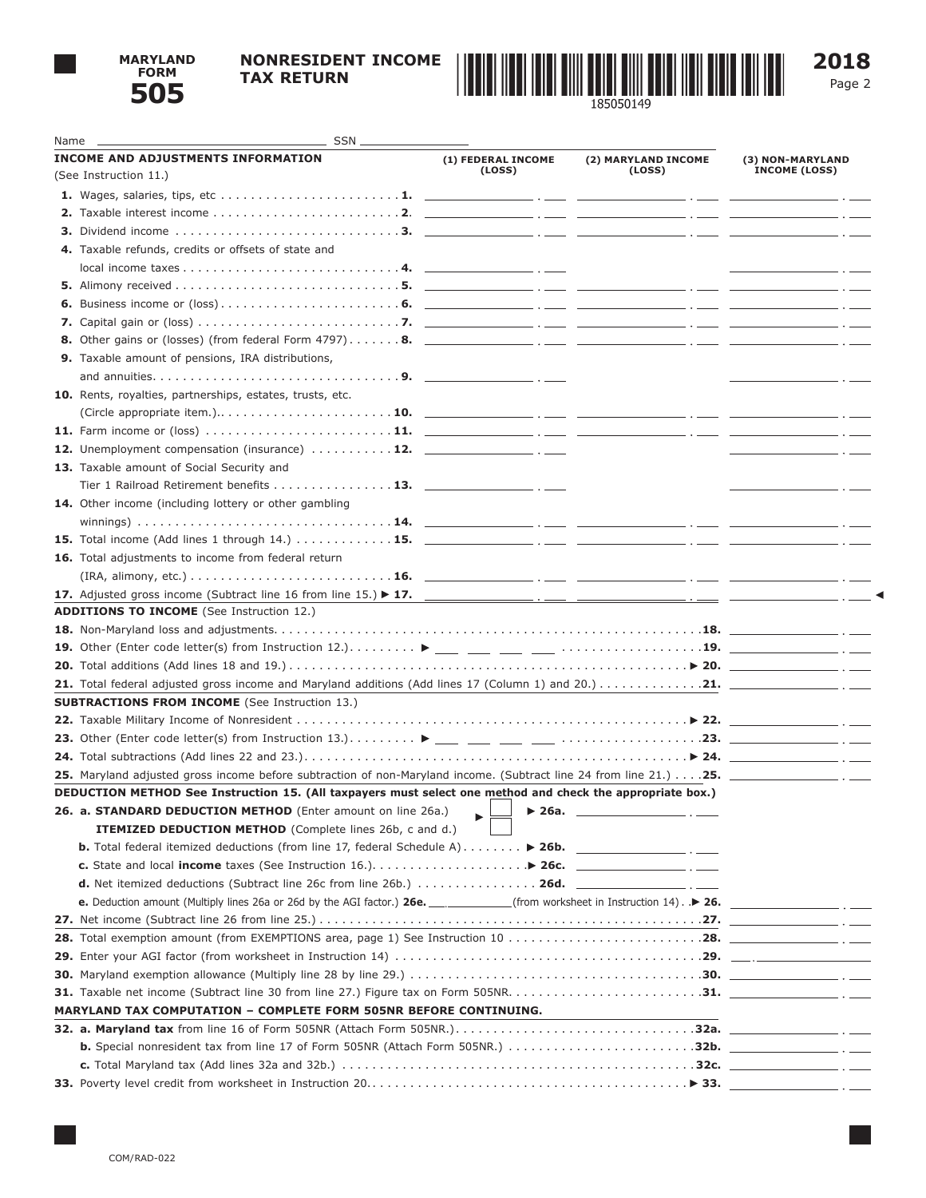

## **NONRESIDENT INCOME TAX RETURN**



Page 2

| Name | SSN.                                                                                                                                                                                        |                              |                               |                                                                     |
|------|---------------------------------------------------------------------------------------------------------------------------------------------------------------------------------------------|------------------------------|-------------------------------|---------------------------------------------------------------------|
|      | <b>INCOME AND ADJUSTMENTS INFORMATION</b>                                                                                                                                                   | (1) FEDERAL INCOME<br>(LOSS) | (2) MARYLAND INCOME<br>(LOSS) | (3) NON-MARYLAND<br><b>INCOME (LOSS)</b>                            |
|      | (See Instruction 11.)                                                                                                                                                                       |                              |                               |                                                                     |
|      |                                                                                                                                                                                             |                              |                               |                                                                     |
|      |                                                                                                                                                                                             |                              |                               |                                                                     |
|      |                                                                                                                                                                                             |                              |                               |                                                                     |
|      | 4. Taxable refunds, credits or offsets of state and                                                                                                                                         |                              |                               |                                                                     |
|      |                                                                                                                                                                                             |                              |                               |                                                                     |
|      |                                                                                                                                                                                             |                              |                               |                                                                     |
|      |                                                                                                                                                                                             |                              |                               |                                                                     |
|      |                                                                                                                                                                                             |                              |                               |                                                                     |
|      |                                                                                                                                                                                             |                              |                               |                                                                     |
|      | <b>9.</b> Taxable amount of pensions, IRA distributions,                                                                                                                                    |                              |                               |                                                                     |
|      |                                                                                                                                                                                             |                              |                               | $- \cdot -$                                                         |
|      | 10. Rents, royalties, partnerships, estates, trusts, etc.                                                                                                                                   |                              |                               |                                                                     |
|      |                                                                                                                                                                                             |                              |                               |                                                                     |
|      |                                                                                                                                                                                             |                              |                               |                                                                     |
|      | 12. Unemployment compensation (insurance)  12. _______________. _____                                                                                                                       |                              |                               | $\overline{\phantom{a}}$ . The contract of $\overline{\phantom{a}}$ |
|      | 13. Taxable amount of Social Security and                                                                                                                                                   |                              |                               |                                                                     |
|      | Tier 1 Railroad Retirement benefits 13. $\frac{1}{2}$                                                                                                                                       |                              |                               | $\overline{\phantom{a}}$ . $\overline{\phantom{a}}$                 |
|      | 14. Other income (including lottery or other gambling                                                                                                                                       |                              |                               |                                                                     |
|      |                                                                                                                                                                                             |                              |                               |                                                                     |
|      |                                                                                                                                                                                             |                              |                               |                                                                     |
|      | 16. Total adjustments to income from federal return                                                                                                                                         |                              |                               |                                                                     |
|      |                                                                                                                                                                                             |                              |                               |                                                                     |
|      |                                                                                                                                                                                             |                              |                               |                                                                     |
|      | <b>ADDITIONS TO INCOME</b> (See Instruction 12.)                                                                                                                                            |                              |                               |                                                                     |
|      |                                                                                                                                                                                             |                              |                               |                                                                     |
|      | 19. Other (Enter code letter(s) from Instruction 12.). $\dots \dots \dots$ $\blacktriangleright$ ___ ___ ___ ___ $\dots \dots \dots \dots \dots \dots \dots$ 19. ___________________ . ____ |                              |                               |                                                                     |
|      |                                                                                                                                                                                             |                              |                               |                                                                     |
|      |                                                                                                                                                                                             |                              |                               |                                                                     |
|      | <b>SUBTRACTIONS FROM INCOME</b> (See Instruction 13.)                                                                                                                                       |                              |                               |                                                                     |
|      |                                                                                                                                                                                             |                              |                               |                                                                     |
|      |                                                                                                                                                                                             |                              |                               |                                                                     |
|      | 24. Total subtractions (Add lines 22 and 23.). $\ldots$ . $\ldots$ . $\ldots$ . $\ldots$ . $\ldots$ . $\ldots$ . $\ldots$ . $\triangleright$ 24. $\ldots$                                   |                              |                               |                                                                     |
|      |                                                                                                                                                                                             |                              |                               |                                                                     |
|      | DEDUCTION METHOD See Instruction 15. (All taxpayers must select one method and check the appropriate box.)                                                                                  |                              |                               |                                                                     |
|      | 26. a. STANDARD DEDUCTION METHOD (Enter amount on line 26a.)                                                                                                                                | $\blacktriangleright$ 26a.   |                               |                                                                     |
|      | ITEMIZED DEDUCTION METHOD (Complete lines 26b, c and d.)                                                                                                                                    |                              |                               |                                                                     |
|      | <b>b.</b> Total federal itemized deductions (from line 17, federal Schedule A) $\ldots \ldots$ > 26b.                                                                                       |                              |                               |                                                                     |
|      | c. State and local income taxes (See Instruction 16.). $\ldots$ $\ldots$ $\ldots$ $\ldots$ $\blacktriangleright$ 26c.                                                                       |                              |                               |                                                                     |
|      | d. Net itemized deductions (Subtract line 26c from line 26b.)  26d. _______________.___.                                                                                                    |                              |                               |                                                                     |
|      | e. Deduction amount (Multiply lines 26a or 26d by the AGI factor.) 26e. ____________(from worksheet in Instruction 14). .▶ 26.                                                              |                              |                               |                                                                     |
|      |                                                                                                                                                                                             |                              |                               | <u>and the state of the state of the state</u>                      |
|      |                                                                                                                                                                                             |                              |                               |                                                                     |
|      |                                                                                                                                                                                             |                              |                               |                                                                     |
|      |                                                                                                                                                                                             |                              |                               |                                                                     |
|      |                                                                                                                                                                                             |                              |                               |                                                                     |
|      |                                                                                                                                                                                             |                              |                               |                                                                     |
|      | <b>MARYLAND TAX COMPUTATION - COMPLETE FORM 505NR BEFORE CONTINUING.</b>                                                                                                                    |                              |                               |                                                                     |
|      |                                                                                                                                                                                             |                              |                               |                                                                     |
|      |                                                                                                                                                                                             |                              |                               |                                                                     |
|      |                                                                                                                                                                                             |                              |                               |                                                                     |
|      |                                                                                                                                                                                             |                              |                               |                                                                     |